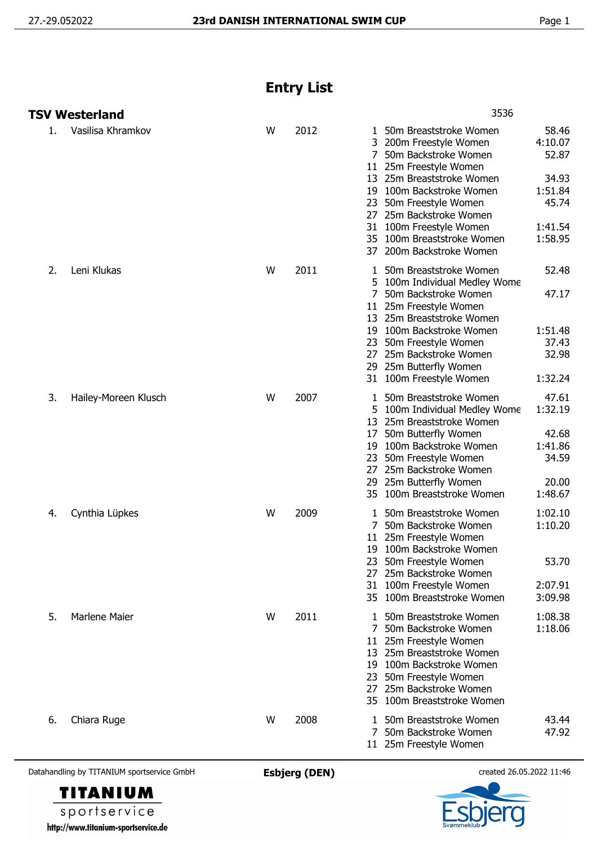## **Entry List**

|    | <b>TSV Westerland</b> |   |      | 3536                                                                                                                                                                                                                                                                                                                                                                                                        |  |  |  |
|----|-----------------------|---|------|-------------------------------------------------------------------------------------------------------------------------------------------------------------------------------------------------------------------------------------------------------------------------------------------------------------------------------------------------------------------------------------------------------------|--|--|--|
| 1. | Vasilisa Khramkov     | W | 2012 | 58.46<br>50m Breaststroke Women<br>1<br>4:10.07<br>3<br>200m Freestyle Women<br>52.87<br>7<br>50m Backstroke Women<br>11 25m Freestyle Women<br>34.93<br>13 25m Breaststroke Women<br>19 100m Backstroke Women<br>1:51.84<br>45.74<br>50m Freestyle Women<br>23<br>25m Backstroke Women<br>27<br>100m Freestyle Women<br>31<br>1:41.54<br>1:58.95<br>35 100m Breaststroke Women<br>37 200m Backstroke Women |  |  |  |
| 2. | Leni Klukas           | W | 2011 | 52.48<br>50m Breaststroke Women<br>5 100m Individual Medley Wome<br>47.17<br>50m Backstroke Women<br>11 25m Freestyle Women<br>13 25m Breaststroke Women<br>19 100m Backstroke Women<br>1:51.48<br>37.43<br>50m Freestyle Women<br>23<br>27 25m Backstroke Women<br>32.98<br>25m Butterfly Women<br>29<br>1:32.24<br>31 100m Freestyle Women                                                                |  |  |  |
| 3. | Hailey-Moreen Klusch  | W | 2007 | 47.61<br>50m Breaststroke Women<br>1<br>1:32.19<br>100m Individual Medley Wome<br>5.<br>13<br>25m Breaststroke Women<br>42.68<br>50m Butterfly Women<br>17<br>100m Backstroke Women<br>1:41.86<br>19<br>34.59<br>50m Freestyle Women<br>23<br>25m Backstroke Women<br>27<br>25m Butterfly Women<br>20.00<br>29<br>100m Breaststroke Women<br>1:48.67<br>35                                                  |  |  |  |
| 4. | Cynthia Lüpkes        | W | 2009 | 1:02.10<br>50m Breaststroke Women<br>1:10.20<br>7<br>50m Backstroke Women<br>25m Freestyle Women<br>11<br>19 100m Backstroke Women<br>53.70<br>23 50m Freestyle Women<br>25m Backstroke Women<br>27<br>31 100m Freestyle Women<br>2:07.91<br>3:09.98<br>35 100m Breaststroke Women                                                                                                                          |  |  |  |
| 5. | <b>Marlene Maier</b>  | W | 2011 | 1:08.38<br>50m Breaststroke Women<br>50m Backstroke Women<br>1:18.06<br>11 25m Freestyle Women<br>13 25m Breaststroke Women<br>19 100m Backstroke Women<br>50m Freestyle Women<br>23<br>25m Backstroke Women<br>27<br>35 100m Breaststroke Women                                                                                                                                                            |  |  |  |
| 6. | Chiara Ruge           | W | 2008 | 50m Breaststroke Women<br>43.44<br>1<br>50m Backstroke Women<br>47.92<br>7<br>11 25m Freestyle Women                                                                                                                                                                                                                                                                                                        |  |  |  |

Datahandling by TITANIUM sportservice GmbH **Esbjerg (DEN)** created 26.05.2022 11:46



sportservice http://www.titanium-sportservice.de

**TITANIUM**